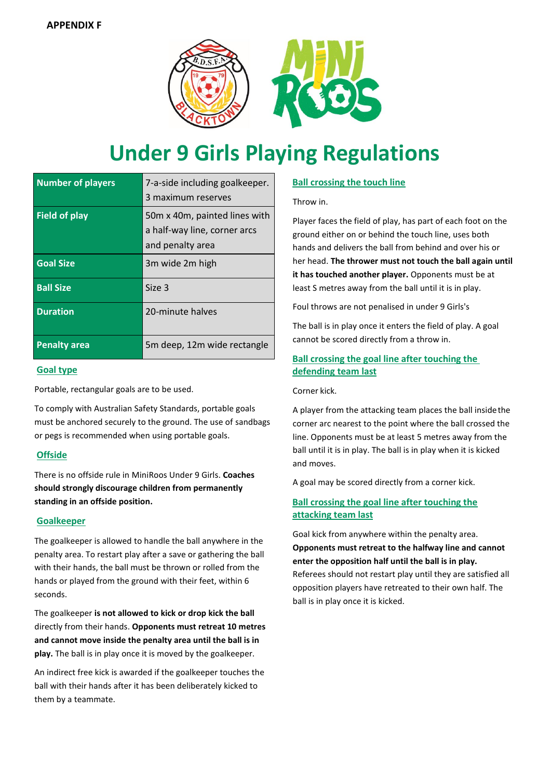

# **Under 9 Girls Playing Regulations**

| <b>Number of players</b> | 7-a-side including goalkeeper.<br>3 maximum reserves                              |
|--------------------------|-----------------------------------------------------------------------------------|
| <b>Field of play</b>     | 50m x 40m, painted lines with<br>a half-way line, corner arcs<br>and penalty area |
| <b>Goal Size</b>         | 3m wide 2m high                                                                   |
| <b>Ball Size</b>         | Size 3                                                                            |
| <b>Duration</b>          | 20-minute halves                                                                  |
| <b>Penalty area</b>      | 5m deep, 12m wide rectangle                                                       |

### **Goal type**

Portable, rectangular goals are to be used.

To comply with Australian Safety Standards, portable goals must be anchored securely to the ground. The use of sandbags or pegs is recommended when using portable goals.

# **Offside**

There is no offside rule in MiniRoos Under 9 Girls. **Coaches should strongly discourage children from permanently standing in an offside position.**

### **Goalkeeper**

The goalkeeper is allowed to handle the ball anywhere in the penalty area. To restart play after a save or gathering the ball with their hands, the ball must be thrown or rolled from the hands or played from the ground with their feet, within 6 seconds.

The goalkeeper **is not allowed to kick or drop kick the ball**  directly from their hands. **Opponents must retreat 10 metres and cannot move inside the penalty area until the ball is in play.** The ball is in play once it is moved by the goalkeeper.

An indirect free kick is awarded if the goalkeeper touches the ball with their hands after it has been deliberately kicked to them by a teammate.

## **Ball crossing the touch line**

Throw in.

Player faces the field of play, has part of each foot on the ground either on or behind the touch line, uses both hands and delivers the ball from behind and over his or her head. **The thrower must not touch the ball again until it has touched another player.** Opponents must be at least S metres away from the ball until it is in play.

Foul throws are not penalised in under 9 Girls's

The ball is in play once it enters the field of play. A goal cannot be scored directly from a throw in.

# **Ball crossing the goal line after touching the defending team last**

Corner kick.

A player from the attacking team places the ball insidethe corner arc nearest to the point where the ball crossed the line. Opponents must be at least 5 metres away from the ball until it is in play. The ball is in play when it is kicked and moves.

A goal may be scored directly from a corner kick.

# **Ball crossing the goal line after touching the attacking team last**

Goal kick from anywhere within the penalty area. **Opponents must retreat to the halfway line and cannot enter the opposition half until the ball is in play.** Referees should not restart play until they are satisfied all opposition players have retreated to their own half. The ball is in play once it is kicked.